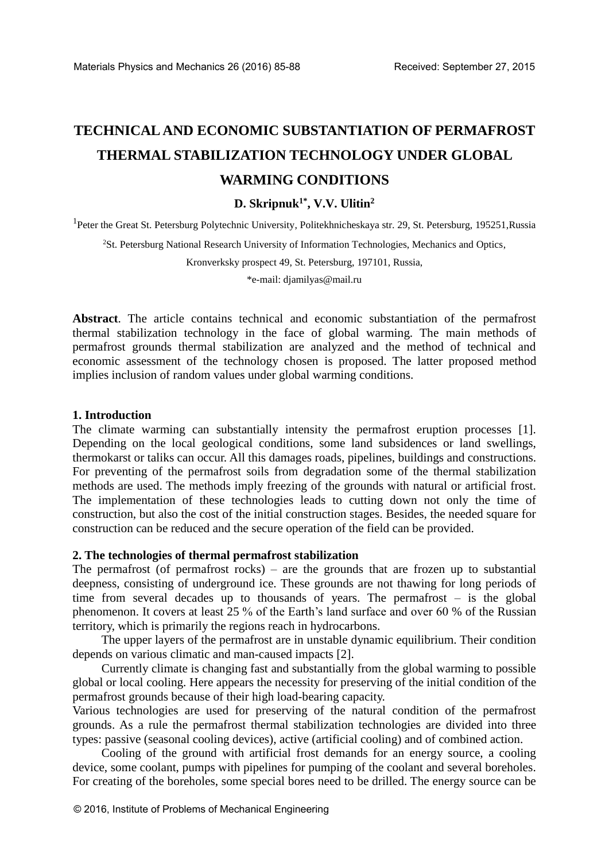# **TECHNICAL AND ECONOMIC SUBSTANTIATION OF PERMAFROST THERMAL STABILIZATION TECHNOLOGY UNDER GLOBAL WARMING CONDITIONS**

# **D. Skripnuk1\*, V.V. Ulitin<sup>2</sup>**

<sup>1</sup>Peter the Great St. Petersburg Polytechnic University, Politekhnicheskaya str. 29, St. Petersburg, 195251, Russia

<sup>2</sup>St. Petersburg National Research University of Information Technologies, Mechanics and Optics,

Kronverksky prospect 49, St. Petersburg, 197101, Russia,

\*e-mail: [djamilyas@mail.ru](mailto:djamilyas@mail.ru)

**Abstract**. The article contains technical and economic substantiation of the permafrost thermal stabilization technology in the face of global warming. The main methods of permafrost grounds thermal stabilization are analyzed and the method of technical and economic assessment of the technology chosen is proposed. The latter proposed method implies inclusion of random values under global warming conditions.

#### **1. Introduction**

The climate warming can substantially intensity the permafrost eruption processes [1]. Depending on the local geological conditions, some land subsidences or land swellings, thermokarst or taliks can occur. All this damages roads, pipelines, buildings and constructions. For preventing of the permafrost soils from degradation some of the thermal stabilization methods are used. The methods imply freezing of the grounds with natural or artificial frost. The implementation of these technologies leads to cutting down not only the time of construction, but also the cost of the initial construction stages. Besides, the needed square for construction can be reduced and the secure operation of the field can be provided.

# **2. The technologies of thermal permafrost stabilization**

The permafrost (of permafrost rocks) – are the grounds that are frozen up to substantial deepness, consisting of underground ice. These grounds are not thawing for long periods of time from several decades up to thousands of years. The permafrost – is the global phenomenon. It covers at least 25 % of the Earth's land surface and over 60 % of the Russian territory, which is primarily the regions reach in hydrocarbons.

The upper layers of the permafrost are in unstable dynamic equilibrium. Their condition depends on various climatic and man-caused impacts [2].

Currently climate is changing fast and substantially from the global warming to possible global or local cooling. Here appears the necessity for preserving of the initial condition of the permafrost grounds because of their high load-bearing capacity.

Various technologies are used for preserving of the natural condition of the permafrost grounds. As a rule the permafrost thermal stabilization technologies are divided into three types: passive (seasonal cooling devices), active (artificial cooling) and of combined action.

Cooling of the ground with artificial frost demands for an energy source, a cooling device, some coolant, pumps with pipelines for pumping of the coolant and several boreholes. For creating of the boreholes, some special bores need to be drilled. The energy source can be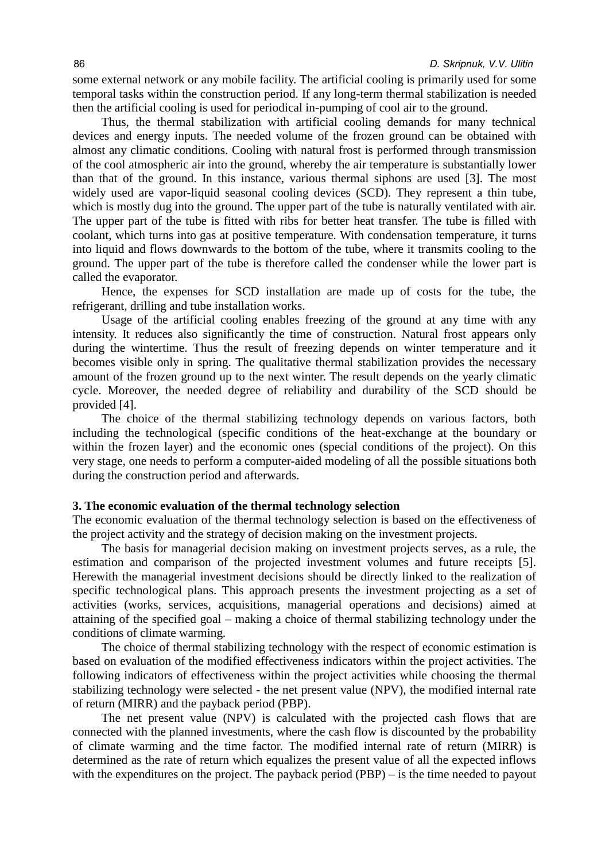some external network or any mobile facility. The artificial cooling is primarily used for some temporal tasks within the construction period. If any long-term thermal stabilization is needed then the artificial cooling is used for periodical in-pumping of cool air to the ground.

Thus, the thermal stabilization with artificial cooling demands for many technical devices and energy inputs. The needed volume of the frozen ground can be obtained with almost any climatic conditions. Cooling with natural frost is performed through transmission of the cool atmospheric air into the ground, whereby the air temperature is substantially lower than that of the ground. In this instance, various thermal siphons are used [3]. The most widely used are vapor-liquid seasonal cooling devices (SCD). They represent a thin tube, which is mostly dug into the ground. The upper part of the tube is naturally ventilated with air. The upper part of the tube is fitted with ribs for better heat transfer. The tube is filled with coolant, which turns into gas at positive temperature. With condensation temperature, it turns into liquid and flows downwards to the bottom of the tube, where it transmits cooling to the ground. The upper part of the tube is therefore called the condenser while the lower part is called the evaporator.

Hence, the expenses for SCD installation are made up of costs for the tube, the refrigerant, drilling and tube installation works.

Usage of the artificial cooling enables freezing of the ground at any time with any intensity. It reduces also significantly the time of construction. Natural frost appears only during the wintertime. Thus the result of freezing depends on winter temperature and it becomes visible only in spring. The qualitative thermal stabilization provides the necessary amount of the frozen ground up to the next winter. The result depends on the yearly climatic cycle. Moreover, the needed degree of reliability and durability of the SCD should be provided [4].

The choice of the thermal stabilizing technology depends on various factors, both including the technological (specific conditions of the heat-exchange at the boundary or within the frozen layer) and the economic ones (special conditions of the project). On this very stage, one needs to perform a computer-aided modeling of all the possible situations both during the construction period and afterwards.

#### **3. The economic evaluation of the thermal technology selection**

The economic evaluation of the thermal technology selection is based on the effectiveness of the project activity and the strategy of decision making on the investment projects.

The basis for managerial decision making on investment projects serves, as a rule, the estimation and comparison of the projected investment volumes and future receipts [5]. Herewith the managerial investment decisions should be directly linked to the realization of specific technological plans. This approach presents the investment projecting as a set of activities (works, services, acquisitions, managerial operations and decisions) aimed at attaining of the specified goal – making a choice of thermal stabilizing technology under the conditions of climate warming.

The choice of thermal stabilizing technology with the respect of economic estimation is based on evaluation of the modified effectiveness indicators within the project activities. The following indicators of effectiveness within the project activities while choosing the thermal stabilizing technology were selected - the net present value (NPV), the modified internal rate of return (MIRR) and the payback period (PBP).

The net present value (NPV) is calculated with the projected cash flows that are connected with the planned investments, where the cash flow is discounted by the probability of climate warming and the time factor. The modified internal rate of return (MIRR) is determined as the rate of return which equalizes the present value of all the expected inflows with the expenditures on the project. The payback period (PBP) – is the time needed to payout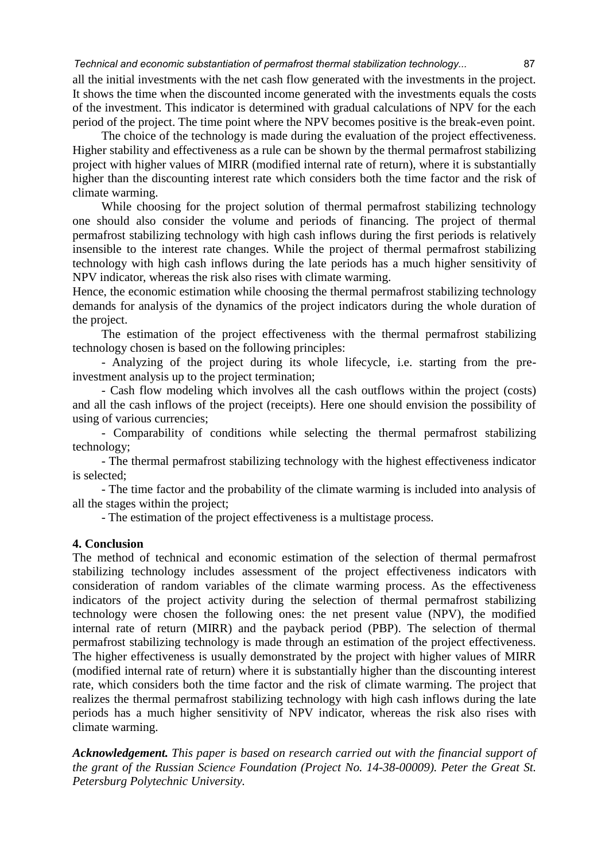*Technical and economic substantiation of permafrost thermal stabilization technology...* 87

all the initial investments with the net cash flow generated with the investments in the project. It shows the time when the discounted income generated with the investments equals the costs of the investment. This indicator is determined with gradual calculations of NPV for the each period of the project. The time point where the NPV becomes positive is the break-even point.

The choice of the technology is made during the evaluation of the project effectiveness. Higher stability and effectiveness as a rule can be shown by the thermal permafrost stabilizing project with higher values of MIRR (modified internal rate of return), where it is substantially higher than the discounting interest rate which considers both the time factor and the risk of climate warming.

While choosing for the project solution of thermal permafrost stabilizing technology one should also consider the volume and periods of financing. The project of thermal permafrost stabilizing technology with high cash inflows during the first periods is relatively insensible to the interest rate changes. While the project of thermal permafrost stabilizing technology with high cash inflows during the late periods has a much higher sensitivity of NPV indicator, whereas the risk also rises with climate warming.

Hence, the economic estimation while choosing the thermal permafrost stabilizing technology demands for analysis of the dynamics of the project indicators during the whole duration of the project.

The estimation of the project effectiveness with the thermal permafrost stabilizing technology chosen is based on the following principles:

- Analyzing of the project during its whole lifecycle, i.e. starting from the preinvestment analysis up to the project termination;

- Cash flow modeling which involves all the cash outflows within the project (costs) and all the cash inflows of the project (receipts). Here one should envision the possibility of using of various currencies;

- Comparability of conditions while selecting the thermal permafrost stabilizing technology;

- The thermal permafrost stabilizing technology with the highest effectiveness indicator is selected;

- The time factor and the probability of the climate warming is included into analysis of all the stages within the project;

- The estimation of the project effectiveness is a multistage process.

## **4. Conclusion**

The method of technical and economic estimation of the selection of thermal permafrost stabilizing technology includes assessment of the project effectiveness indicators with consideration of random variables of the climate warming process. As the effectiveness indicators of the project activity during the selection of thermal permafrost stabilizing technology were chosen the following ones: the net present value (NPV), the modified internal rate of return (MIRR) and the payback period (PBP). The selection of thermal permafrost stabilizing technology is made through an estimation of the project effectiveness. The higher effectiveness is usually demonstrated by the project with higher values of MIRR (modified internal rate of return) where it is substantially higher than the discounting interest rate, which considers both the time factor and the risk of climate warming. The project that realizes the thermal permafrost stabilizing technology with high cash inflows during the late periods has a much higher sensitivity of NPV indicator, whereas the risk also rises with climate warming.

*Acknowledgement. This paper is based on research carried out with the financial support of the grant of the Russian Science Foundation (Project No. 14-38-00009). Peter the Great St. Petersburg Polytechnic University.*